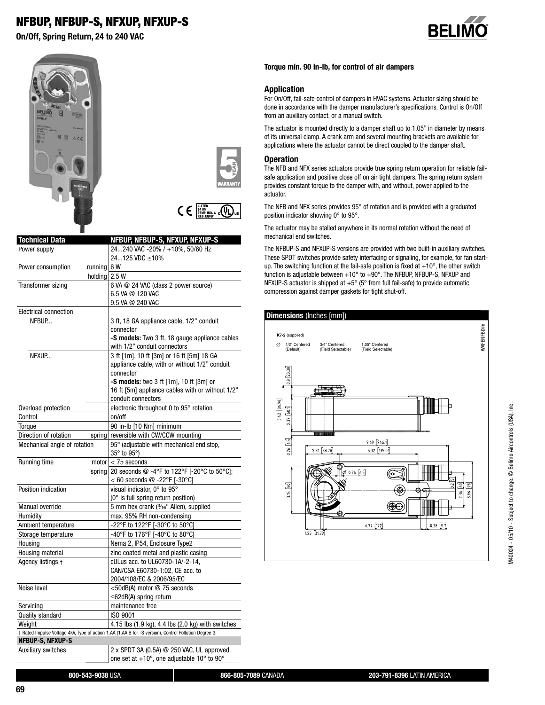# **NFBUP, NFBUP-S, NFXUP, NFXUP-S**

**On/Off, Spring Return, 24 to 240 VAC**









| <b>Technical Data</b>           | NFBUP, NFBUP-S, NFXUP, NFXUP-S                                                                        |
|---------------------------------|-------------------------------------------------------------------------------------------------------|
| Power supply                    | 24240 VAC -20% / +10%, 50/60 Hz                                                                       |
|                                 | 24125 VDC ±10%                                                                                        |
| Power consumption<br>running    | 6 W                                                                                                   |
| holding                         | 2.5W                                                                                                  |
| Transformer sizing              | 6 VA @ 24 VAC (class 2 power source)                                                                  |
|                                 | 6.5 VA @ 120 VAC                                                                                      |
|                                 | 9.5 VA @ 240 VAC                                                                                      |
| <b>Electrical connection</b>    |                                                                                                       |
| NFBUP                           | 3 ft, 18 GA appliance cable, 1/2" conduit                                                             |
|                                 | connector                                                                                             |
|                                 | -S models: Two 3 ft, 18 gauge appliance cables                                                        |
|                                 | with 1/2" conduit connectors                                                                          |
| NFXUP                           | 3 ft [1m], 10 ft [3m] or 16 ft [5m] 18 GA                                                             |
|                                 | appliance cable, with or without 1/2" conduit                                                         |
|                                 | connector                                                                                             |
|                                 | -S models: two 3 ft [1m], 10 ft [3m] or                                                               |
|                                 | 16 ft [5m] appliance cables with or without 1/2"                                                      |
|                                 | conduit connectors                                                                                    |
| Overload protection             | electronic throughout 0 to 95° rotation                                                               |
| Control                         | on/off                                                                                                |
| Torque                          | 90 in-lb [10 Nm] minimum                                                                              |
| Direction of rotation<br>spring | reversible with CW/CCW mounting                                                                       |
| Mechanical angle of rotation    | 95° (adjustable with mechanical end stop,                                                             |
|                                 | 35° to 95°)                                                                                           |
| Running time                    | motor $<$ 75 seconds                                                                                  |
| spring                          | 20 seconds @ -4°F to 122°F [-20°C to 50°C];                                                           |
|                                 | < 60 seconds $@ -22^{\circ}F$ [-30°C]                                                                 |
| Position indication             | visual indicator, 0° to 95°                                                                           |
|                                 | (0° is full spring return position)                                                                   |
| Manual override                 | 5 mm hex crank (3/16" Allen), supplied                                                                |
| Humidity                        | max. 95% RH non-condensing                                                                            |
| Ambient temperature             | -22°F to 122°F [-30°C to 50°C]                                                                        |
| Storage temperature             | -40°F to 176°F [-40°C to 80°C]                                                                        |
| Housing                         | Nema 2, IP54, Enclosure Type2                                                                         |
| Housing material                | zinc coated metal and plastic casing                                                                  |
| Agency listings +               | cULus acc. to UL60730-1A/-2-14,                                                                       |
|                                 | CAN/CSA E60730-1:02, CE acc. to                                                                       |
|                                 | 2004/108/EC & 2006/95/EC                                                                              |
| Noise level                     | <50dB(A) motor @ 75 seconds                                                                           |
|                                 | ≤62dB(A) spring return                                                                                |
| Servicing                       | maintenance free                                                                                      |
| Quality standard                | ISO 9001                                                                                              |
| Weight                          | 4.15 lbs (1.9 kg), 4.4 lbs (2.0 kg) with switches                                                     |
|                                 | † Rated Impulse Voltage 4kV, Type of action 1.AA (1.AA.B for -S version), Control Pollution Degree 3. |
| NFBUP-S, NFXUP-S                |                                                                                                       |
| <b>Auxiliary switches</b>       | 2 x SPDT 3A (0.5A) @ 250 VAC, UL approved                                                             |
|                                 | one set at +10°, one adjustable 10° to 90°                                                            |

### **Torque min. 90 in-lb, for control of air dampers**

## **Application**

For On/Off, fail-safe control of dampers in HVAC systems. Actuator sizing should be done in accordance with the damper manufacturer's specifications. Control is On/Off from an auxiliary contact, or a manual switch.

The actuator is mounted directly to a damper shaft up to 1.05" in diameter by means of its universal clamp. A crank arm and several mounting brackets are available for applications where the actuator cannot be direct coupled to the damper shaft.

#### **Operation**

The NFB and NFX series actuators provide true spring return operation for reliable failsafe application and positive close off on air tight dampers. The spring return system provides constant torque to the damper with, and without, power applied to the actuator.

The NFB and NFX series provides 95° of rotation and is provided with a graduated position indicator showing 0° to 95°.

The actuator may be stalled anywhere in its normal rotation without the need of mechanical end switches.

The NFBUP-S and NFXUP-S versions are provided with two built-in auxiliary switches. These SPDT switches provide safety interfacing or signaling, for example, for fan startup. The switching function at the fail-safe position is fixed at  $+10^{\circ}$ , the other switch function is adjustable between  $+10^{\circ}$  to  $+90^{\circ}$ . The NFBUP, NFBUP-S, NFXUP and NFXUP-S actuator is shipped at +5° (5° from full fail-safe) to provide automatic compression against damper gaskets for tight shut-off.